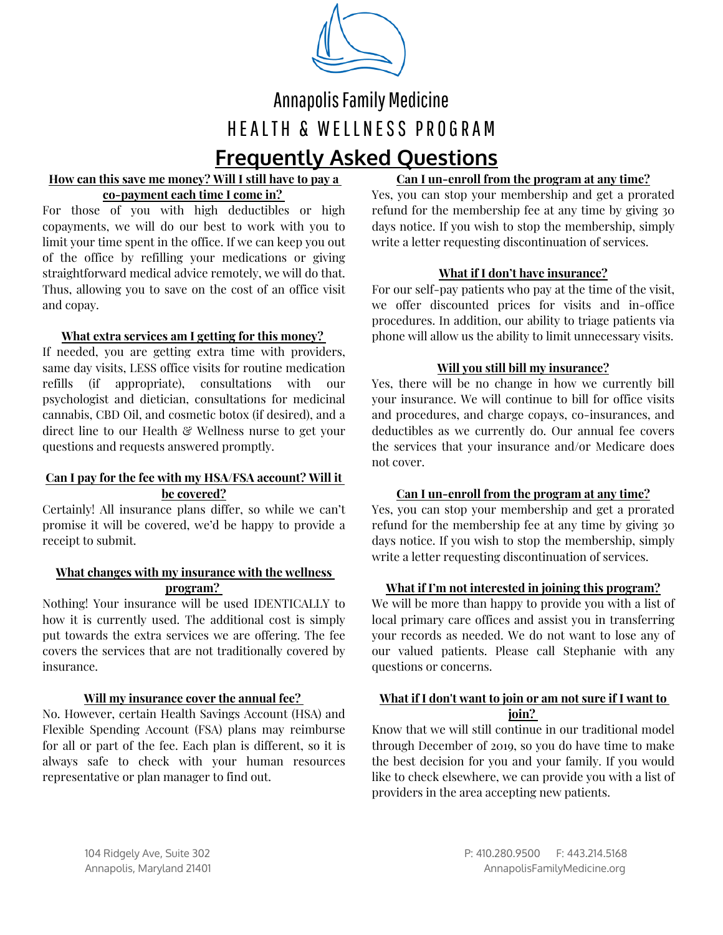

# Annapolis Family Medicine HEALTH & WELLNESS PROGRAM **Frequently Asked Questions**

# **How can this save me money? Will I still have to pay a co-payment each time I come in?**

For those of you with high deductibles or high copayments, we will do our best to work with you to limit your time spent in the office. If we can keep you out of the office by refilling your medications or giving straightforward medical advice remotely, we will do that. Thus, allowing you to save on the cost of an office visit and copay.

# **What extra services am I getting forthis money?**

If needed, you are getting extra time with providers, same day visits, LESS office visits for routine medication refills (if appropriate), consultations with our psychologist and dietician, consultations for medicinal cannabis, CBD Oil, and cosmetic botox (if desired), and a direct line to our Health & Wellness nurse to get your questions and requests answered promptly.

#### **Can I pay for the fee with myHSA/FSA account? Will it be covered?**

Certainly! All insurance plans differ, so while we can't promise it will be covered, we'd be happy to provide a receipt to submit.

#### **What changes with myinsurance with the wellness program?**

Nothing! Your insurance will be used IDENTICALLY to how it is currently used. The additional cost is simply put towards the extra services we are offering. The fee covers the services that are not traditionally covered by insurance.

### **Will my insurance cover the annual fee?**

No. However, certain Health Savings Account (HSA) and Flexible Spending Account (FSA) plans may reimburse for all or part of the fee. Each plan is different, so it is always safe to check with your human resources representative or plan manager to find out.

# **Can I un-enroll from the program at any time?**

Yes, you can stop your membership and get a prorated refund for the membership fee at any time by giving 30 days notice. If you wish to stop the membership, simply write a letter requesting discontinuation of services.

# **What if I don't have insurance?**

For our self-pay patients who pay at the time of the visit, we offer discounted prices for visits and in-office procedures. In addition, our ability to triage patients via phone will allow us the ability to limit unnecessary visits.

# **Will you still bill my insurance?**

Yes, there will be no change in how we currently bill your insurance. We will continue to bill for office visits and procedures, and charge copays, co-insurances, and deductibles as we currently do. Our annual fee covers the services that your insurance and/or Medicare does not cover.

### **Can I un-enroll from the program at any time?**

Yes, you can stop your membership and get a prorated refund for the membership fee at any time by giving 30 days notice. If you wish to stop the membership, simply write a letter requesting discontinuation of services.

### **What if I'm not interested in joining this program?**

We will be more than happy to provide you with a list of local primary care offices and assist you in transferring your records as needed. We do not want to lose any of our valued patients. Please call Stephanie with any questions or concerns.

### **What if I don't want to join or am not sure if I want to join?**

Know that we will still continue in our traditional model through December of 2019, so you do have time to make the best decision for you and your family. If you would like to check elsewhere, we can provide you with a list of providers in the area accepting new patients.